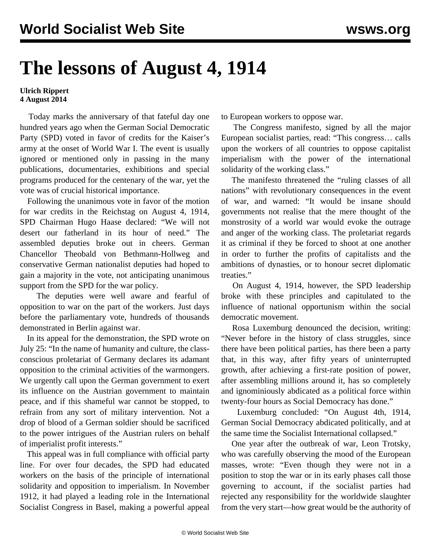## **The lessons of August 4, 1914**

## **Ulrich Rippert 4 August 2014**

 Today marks the anniversary of that fateful day one hundred years ago when the German Social Democratic Party (SPD) voted in favor of credits for the Kaiser's army at the onset of World War I. The event is usually ignored or mentioned only in passing in the many publications, documentaries, exhibitions and special programs produced for the centenary of the war, yet the vote was of crucial historical importance.

 Following the unanimous vote in favor of the motion for war credits in the Reichstag on August 4, 1914, SPD Chairman Hugo Haase declared: "We will not desert our fatherland in its hour of need." The assembled deputies broke out in cheers. German Chancellor Theobald von Bethmann-Hollweg and conservative German nationalist deputies had hoped to gain a majority in the vote, not anticipating unanimous support from the SPD for the war policy.

 The deputies were well aware and fearful of opposition to war on the part of the workers. Just days before the parliamentary vote, hundreds of thousands demonstrated in Berlin against war.

 In its appeal for the demonstration, the SPD wrote on July 25: "In the name of humanity and culture, the classconscious proletariat of Germany declares its adamant opposition to the criminal activities of the warmongers. We urgently call upon the German government to exert its influence on the Austrian government to maintain peace, and if this shameful war cannot be stopped, to refrain from any sort of military intervention. Not a drop of blood of a German soldier should be sacrificed to the power intrigues of the Austrian rulers on behalf of imperialist profit interests."

 This appeal was in full compliance with official party line. For over four decades, the SPD had educated workers on the basis of the principle of international solidarity and opposition to imperialism. In November 1912, it had played a leading role in the International Socialist Congress in Basel, making a powerful appeal to European workers to oppose war.

 The Congress manifesto, signed by all the major European socialist parties, read: "This congress… calls upon the workers of all countries to oppose capitalist imperialism with the power of the international solidarity of the working class."

 The manifesto threatened the "ruling classes of all nations" with revolutionary consequences in the event of war, and warned: "It would be insane should governments not realise that the mere thought of the monstrosity of a world war would evoke the outrage and anger of the working class. The proletariat regards it as criminal if they be forced to shoot at one another in order to further the profits of capitalists and the ambitions of dynasties, or to honour secret diplomatic treaties."

 On August 4, 1914, however, the SPD leadership broke with these principles and capitulated to the influence of national opportunism within the social democratic movement.

 Rosa Luxemburg denounced the decision, writing: "Never before in the history of class struggles, since there have been political parties, has there been a party that, in this way, after fifty years of uninterrupted growth, after achieving a first-rate position of power, after assembling millions around it, has so completely and ignominiously abdicated as a political force within twenty-four hours as Social Democracy has done."

 Luxemburg concluded: "On August 4th, 1914, German Social Democracy abdicated politically, and at the same time the Socialist International collapsed."

 One year after the outbreak of war, Leon Trotsky, who was carefully observing the mood of the European masses, wrote: "Even though they were not in a position to stop the war or in its early phases call those governing to account, if the socialist parties had rejected any responsibility for the worldwide slaughter from the very start—how great would be the authority of